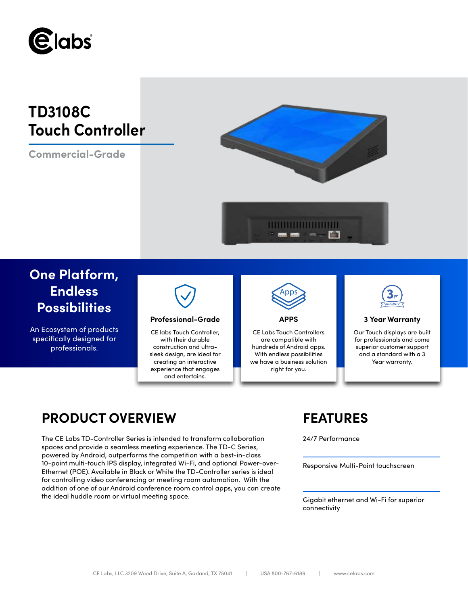

# **TD3108C Touch Controller**

**Commercial-Grade**



# **One Platform, Endless Possibilities**

An Ecosystem of products specifically designed for professionals.



## **Professional-Grade APPS 3 Year Warranty**

CE labs Touch Controller, with their durable construction and ultrasleek design, are ideal for creating an interactive experience that engages and entertains.



CE Labs Touch Controllers are compatible with hundreds of Android apps. With endless possibilities we have a business solution right for you.



Our Touch displays are built for professionals and come superior customer support and a standard with a 3 Year warranty.

# **PRODUCT OVERVIEW FEATURES**

The CE Labs TD-Controller Series is intended to transform collaboration 24/7 Performance spaces and provide a seamless meeting experience. The TD-C Series, powered by Android, outperforms the competition with a best-in-class 10-point multi-touch IPS display, integrated Wi-Fi, and optional Power-over-Ethernet (POE). Available in Black or White the TD-Controller series is ideal for controlling video conferencing or meeting room automation. With the addition of one of our Android conference room control apps, you can create the ideal huddle room or virtual meeting space.

Responsive Multi-Point touchscreen

Gigabit ethernet and Wi-Fi for superior connectivity